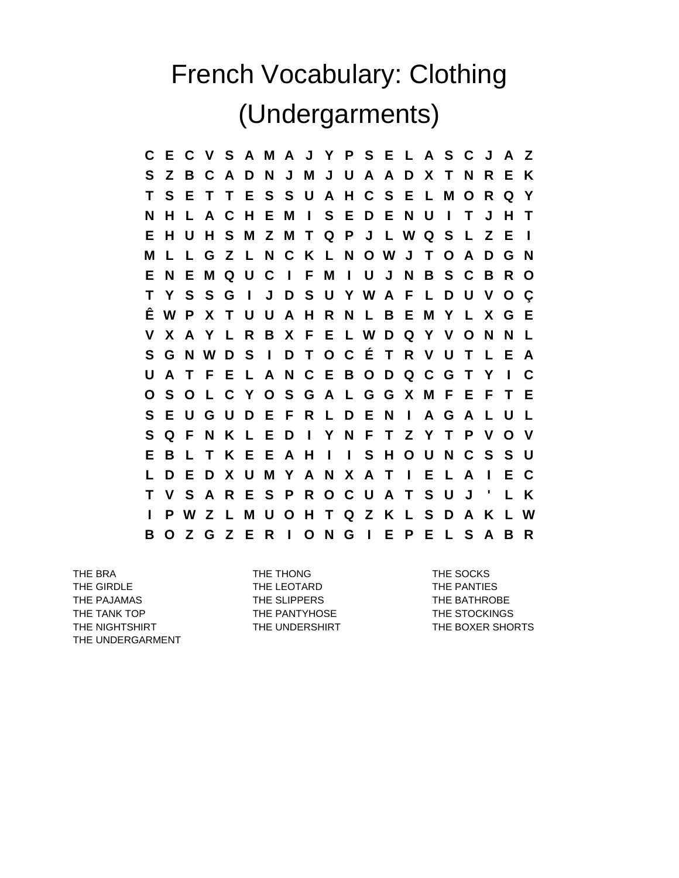## French Vocabulary: Clothing (Undergarments)

**C E C V S A M A J Y P S E L A S C J A Z S Z B C A D N J M J U A A D X T N R E K T S E T T E S S U A H C S E L M O R Q Y N H L A C H E M I S E D E N U I T J H T E H U H S M Z M T Q P J L W Q S L Z E I M L L G Z L N C K L N O W J T O A D G N E N E M Q U C I F M I U J N B S C B R O T Y S S G I J D S U Y W A F L D U V O Ç Ê W P X T U U A H R N L B E M Y L X G E V X A Y L R B X F E L W D Q Y V O N N L S G N W D S I D T O C É T R V U T L E A U A T F E L A N C E B O D Q C G T Y I C O S O L C Y O S G A L G G X M F E F T E S E U G U D E F R L D E N I A G A L U L S Q F N K L E D I Y N F T Z Y T P V O V E B L T K E E A H I I S H O U N C S S U L D E D X U M Y A N X A T I E L A I E C T V S A R E S P R O C U A T S U J ' L K I P W Z L M U O H T Q Z K L S D A K L W B O Z G Z E R I O N G I E P E L S A B R**

THE BRA THE THONG THE SOCKS THE GIRDLE THE LEOTARD THE CONSTRUCTION THE PANTIES THE PAJAMAS THE SLIPPERS THE SLIPPERS THE BATHROBE THE TANK TOP THE PANTYHOSE THE STOCKINGS THE NIGHTSHIRT THE UNDERSHIRT THE UNDERSHIRT THE BOXER SHORTS THE UNDERGARMENT